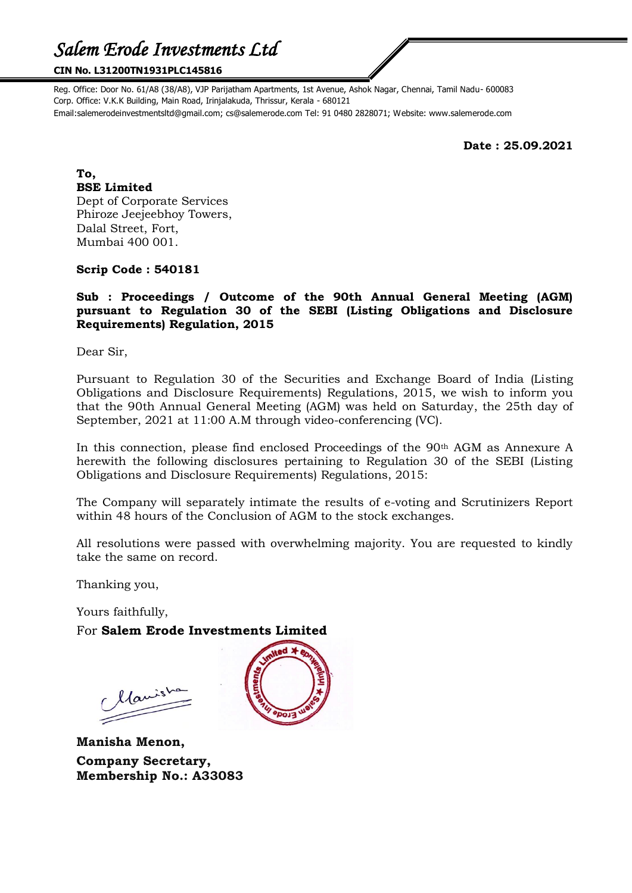#### **CIN No. L31200TN1931PLC145816**

Reg. Office: Door No. 61/A8 (38/A8), VJP Parijatham Apartments, 1st Avenue, Ashok Nagar, Chennai, Tamil Nadu- 600083 Corp. Office: V.K.K Building, Main Road, Irinjalakuda, Thrissur, Kerala - 680121 Email:salemerodeinvestmentsltd@gmail.com; cs@salemerode.com Tel: 91 0480 2828071; Website: www.salemerode.com

**Date : 25.09.2021**

**To, BSE Limited** Dept of Corporate Services Phiroze Jeejeebhoy Towers, Dalal Street, Fort, Mumbai 400 001.

#### **Scrip Code : 540181**

### **Sub : Proceedings / Outcome of the 90th Annual General Meeting (AGM) pursuant to Regulation 30 of the SEBI (Listing Obligations and Disclosure Requirements) Regulation, 2015**

Dear Sir,

Pursuant to Regulation 30 of the Securities and Exchange Board of India (Listing Obligations and Disclosure Requirements) Regulations, 2015, we wish to inform you that the 90th Annual General Meeting (AGM) was held on Saturday, the 25th day of September, 2021 at 11:00 A.M through video-conferencing (VC).

In this connection, please find enclosed Proceedings of the 90th AGM as Annexure A herewith the following disclosures pertaining to Regulation 30 of the SEBI (Listing Obligations and Disclosure Requirements) Regulations, 2015:

The Company will separately intimate the results of e-voting and Scrutinizers Report within 48 hours of the Conclusion of AGM to the stock exchanges.

All resolutions were passed with overwhelming majority. You are requested to kindly take the same on record.

Thanking you,

Yours faithfully,

For **Salem Erode Investments Limited**

llanishe

**Manisha Menon, Company Secretary, Membership No.: A33083**

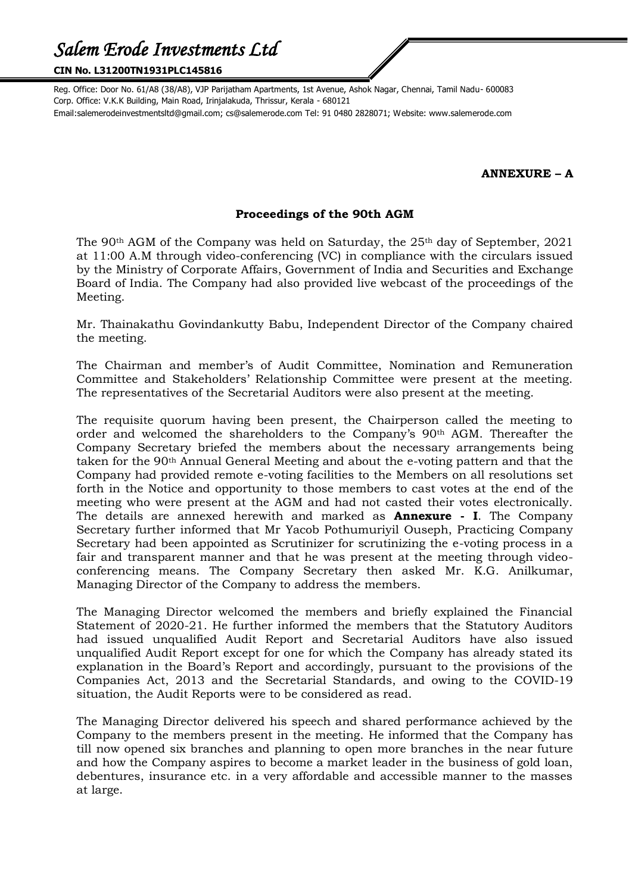#### **CIN No. L31200TN1931PLC145816**

Reg. Office: Door No. 61/A8 (38/A8), VJP Parijatham Apartments, 1st Avenue, Ashok Nagar, Chennai, Tamil Nadu- 600083 Corp. Office: V.K.K Building, Main Road, Irinjalakuda, Thrissur, Kerala - 680121 Email:salemerodeinvestmentsltd@gmail.com; cs@salemerode.com Tel: 91 0480 2828071; Website: www.salemerode.com

## **ANNEXURE – A**

#### **Proceedings of the 90th AGM**

The 90<sup>th</sup> AGM of the Company was held on Saturday, the 25<sup>th</sup> day of September, 2021 at 11:00 A.M through video-conferencing (VC) in compliance with the circulars issued by the Ministry of Corporate Affairs, Government of India and Securities and Exchange Board of India. The Company had also provided live webcast of the proceedings of the Meeting.

Mr. Thainakathu Govindankutty Babu, Independent Director of the Company chaired the meeting.

The Chairman and member's of Audit Committee, Nomination and Remuneration Committee and Stakeholders' Relationship Committee were present at the meeting. The representatives of the Secretarial Auditors were also present at the meeting.

The requisite quorum having been present, the Chairperson called the meeting to order and welcomed the shareholders to the Company's 90th AGM. Thereafter the Company Secretary briefed the members about the necessary arrangements being taken for the 90th Annual General Meeting and about the e-voting pattern and that the Company had provided remote e-voting facilities to the Members on all resolutions set forth in the Notice and opportunity to those members to cast votes at the end of the meeting who were present at the AGM and had not casted their votes electronically. The details are annexed herewith and marked as **Annexure - I**. The Company Secretary further informed that Mr Yacob Pothumuriyil Ouseph, Practicing Company Secretary had been appointed as Scrutinizer for scrutinizing the e-voting process in a fair and transparent manner and that he was present at the meeting through videoconferencing means. The Company Secretary then asked Mr. K.G. Anilkumar, Managing Director of the Company to address the members.

The Managing Director welcomed the members and briefly explained the Financial Statement of 2020-21. He further informed the members that the Statutory Auditors had issued unqualified Audit Report and Secretarial Auditors have also issued unqualified Audit Report except for one for which the Company has already stated its explanation in the Board's Report and accordingly, pursuant to the provisions of the Companies Act, 2013 and the Secretarial Standards, and owing to the COVID-19 situation, the Audit Reports were to be considered as read.

The Managing Director delivered his speech and shared performance achieved by the Company to the members present in the meeting. He informed that the Company has till now opened six branches and planning to open more branches in the near future and how the Company aspires to become a market leader in the business of gold loan, debentures, insurance etc. in a very affordable and accessible manner to the masses at large.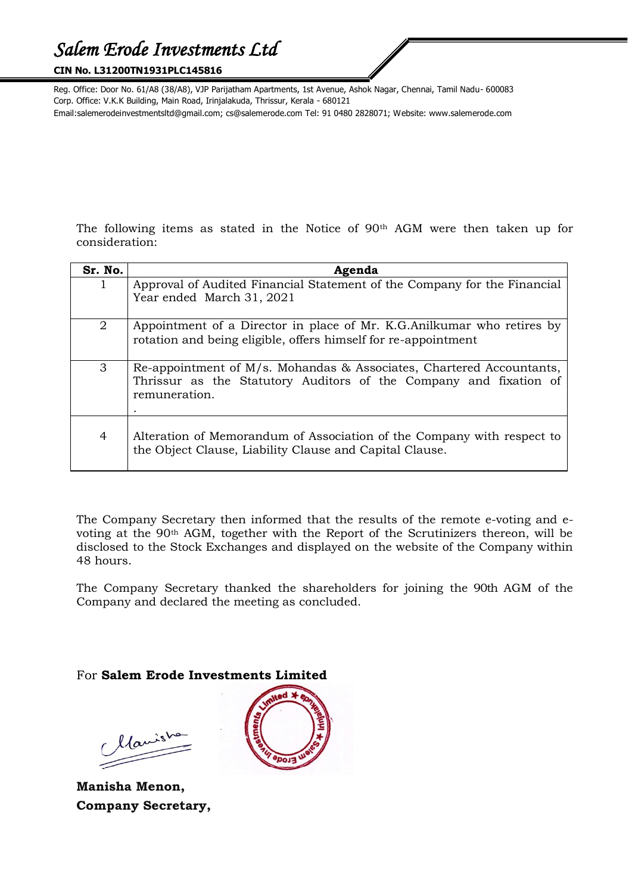#### **CIN No. L31200TN1931PLC145816**

Reg. Office: Door No. 61/A8 (38/A8), VJP Parijatham Apartments, 1st Avenue, Ashok Nagar, Chennai, Tamil Nadu- 600083 Corp. Office: V.K.K Building, Main Road, Irinjalakuda, Thrissur, Kerala - 680121 Email:salemerodeinvestmentsltd@gmail.com; cs@salemerode.com Tel: 91 0480 2828071; Website: www.salemerode.com

The following items as stated in the Notice of 90th AGM were then taken up for consideration:

| Sr. No.        | Agenda                                                                                                                                                     |  |  |
|----------------|------------------------------------------------------------------------------------------------------------------------------------------------------------|--|--|
| 1              | Approval of Audited Financial Statement of the Company for the Financial<br>Year ended March 31, 2021                                                      |  |  |
| $\overline{2}$ | Appointment of a Director in place of Mr. K.G. Anilkumar who retires by<br>rotation and being eligible, offers himself for re-appointment                  |  |  |
| 3              | Re-appointment of M/s. Mohandas & Associates, Chartered Accountants,<br>Thrissur as the Statutory Auditors of the Company and fixation of<br>remuneration. |  |  |
| $\overline{4}$ | Alteration of Memorandum of Association of the Company with respect to<br>the Object Clause, Liability Clause and Capital Clause.                          |  |  |

The Company Secretary then informed that the results of the remote e-voting and evoting at the 90th AGM, together with the Report of the Scrutinizers thereon, will be disclosed to the Stock Exchanges and displayed on the website of the Company within 48 hours.

The Company Secretary thanked the shareholders for joining the 90th AGM of the Company and declared the meeting as concluded.

## For **Salem Erode Investments Limited**

Manisha

**Manisha Menon, Company Secretary,**

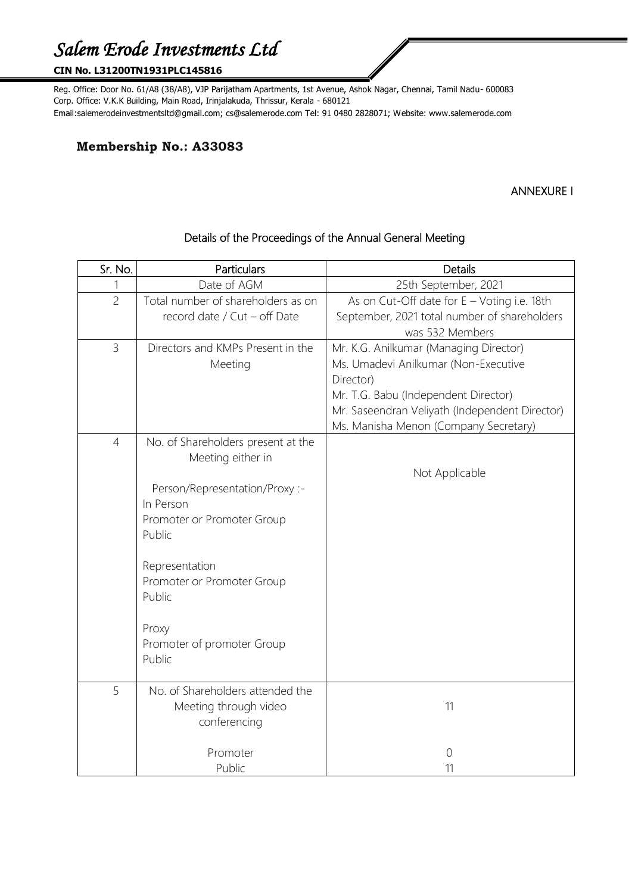### **CIN No. L31200TN1931PLC145816**

Reg. Office: Door No. 61/A8 (38/A8), VJP Parijatham Apartments, 1st Avenue, Ashok Nagar, Chennai, Tamil Nadu- 600083 Corp. Office: V.K.K Building, Main Road, Irinjalakuda, Thrissur, Kerala - 680121 Email:salemerodeinvestmentsltd@gmail.com; cs@salemerode.com Tel: 91 0480 2828071; Website: www.salemerode.com

## **Membership No.: A33083**

## ANNEXURE I

| Sr. No.        | Particulars                                                                                                                                                                                                                                               | <b>Details</b>                                                                                                                                                                                                                 |
|----------------|-----------------------------------------------------------------------------------------------------------------------------------------------------------------------------------------------------------------------------------------------------------|--------------------------------------------------------------------------------------------------------------------------------------------------------------------------------------------------------------------------------|
|                | Date of AGM                                                                                                                                                                                                                                               | 25th September, 2021                                                                                                                                                                                                           |
| $\overline{c}$ | Total number of shareholders as on<br>record date / Cut - off Date                                                                                                                                                                                        | As on Cut-Off date for $E - V$ oting i.e. 18th<br>September, 2021 total number of shareholders<br>was 532 Members                                                                                                              |
| $\overline{3}$ | Directors and KMPs Present in the<br>Meeting                                                                                                                                                                                                              | Mr. K.G. Anilkumar (Managing Director)<br>Ms. Umadevi Anilkumar (Non-Executive<br>Director)<br>Mr. T.G. Babu (Independent Director)<br>Mr. Saseendran Veliyath (Independent Director)<br>Ms. Manisha Menon (Company Secretary) |
| $\overline{4}$ | No. of Shareholders present at the<br>Meeting either in<br>Person/Representation/Proxy :-<br>In Person<br>Promoter or Promoter Group<br>Public<br>Representation<br>Promoter or Promoter Group<br>Public<br>Proxy<br>Promoter of promoter Group<br>Public | Not Applicable                                                                                                                                                                                                                 |
| 5              | No. of Shareholders attended the<br>Meeting through video<br>conferencing<br>Promoter                                                                                                                                                                     | 11<br>$\overline{0}$                                                                                                                                                                                                           |
|                | Public                                                                                                                                                                                                                                                    | 11                                                                                                                                                                                                                             |

## Details of the Proceedings of the Annual General Meeting